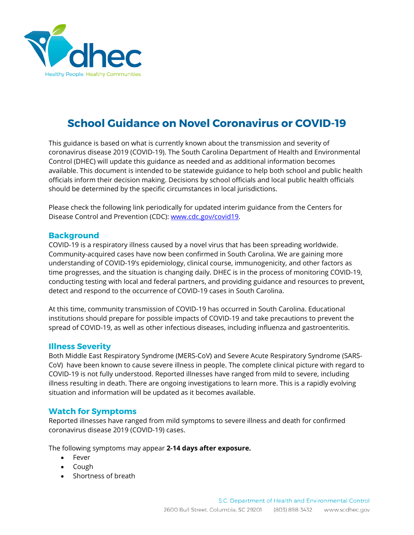

# **School Guidance on Novel Coronavirus or COVID-19**

This guidance is based on what is currently known about the transmission and severity of coronavirus disease 2019 (COVID-19). The South Carolina Department of Health and Environmental Control (DHEC) will update this guidance as needed and as additional information becomes available. This document is intended to be statewide guidance to help both school and public health officials inform their decision making. Decisions by school officials and local public health officials should be determined by the specific circumstances in local jurisdictions.

Please check the following link periodically for updated interim guidance from the Centers for Disease Control and Prevention (CDC): www.cdc.gov/covid19.

#### **Background**

COVID-19 is a respiratory illness caused by a novel virus that has been spreading worldwide. Community-acquired cases have now been confirmed in South Carolina. We are gaining more understanding of COVID-19's epidemiology, clinical course, immunogenicity, and other factors as time progresses, and the situation is changing daily. DHEC is in the process of monitoring COVID-19, conducting testing with local and federal partners, and providing guidance and resources to prevent, detect and respond to the occurrence of COVID-19 cases in South Carolina.

At this time, community transmission of COVID-19 has occurred in South Carolina. Educational institutions should prepare for possible impacts of COVID-19 and take precautions to prevent the spread of COVID-19, as well as other infectious diseases, including influenza and gastroenteritis.

#### **Illness Severity**

Both Middle East Respiratory Syndrome (MERS-CoV) and Severe Acute Respiratory Syndrome (SARS-CoV) have been known to cause severe illness in people. The complete clinical picture with regard to COVID-19 is not fully understood. Reported illnesses have ranged from mild to severe, including illness resulting in death. There are ongoing investigations to learn more. This is a rapidly evolving situation and information will be updated as it becomes available.

#### **Watch for Symptoms**

Reported illnesses have ranged from mild symptoms to severe illness and death for confirmed coronavirus disease 2019 (COVID-19) cases.

The following symptoms may appear **2-14 days after exposure.**

- Fever
- Cough
- Shortness of breath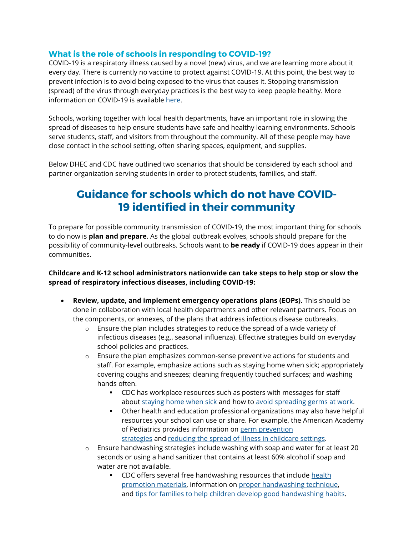# **What is the role of schools in responding to COVID-19?**

COVID-19 is a respiratory illness caused by a novel (new) virus, and we are learning more about it every day. There is currently no vaccine to protect against COVID-19. At this point, the best way to prevent infection is to avoid being exposed to the virus that causes it. Stopping transmission (spread) of the virus through everyday practices is the best way to keep people healthy. More information on COVID-19 is available [here.](https://www.cdc.gov/coronavirus/2019-ncov/index.html)

Schools, working together with local health departments, have an important role in slowing the spread of diseases to help ensure students have safe and healthy learning environments. Schools serve students, staff, and visitors from throughout the community. All of these people may have close contact in the school setting, often sharing spaces, equipment, and supplies.

Below DHEC and CDC have outlined two scenarios that should be considered by each school and partner organization serving students in order to protect students, families, and staff.

# **Guidance for schools which do not have COVID-19 identified in their community**

To prepare for possible community transmission of COVID-19, the most important thing for schools to do now is **plan and prepare**. As the global outbreak evolves, schools should prepare for the possibility of community-level outbreaks. Schools want to **be ready** if COVID-19 does appear in their communities.

## **Childcare and K-12 school administrators nationwide can take steps to help stop or slow the spread of respiratory infectious diseases, including COVID-19:**

- **Review, update, and implement emergency operations plans (EOPs).** This should be done in collaboration with local health departments and other relevant partners. Focus on the components, or annexes, of the plans that address infectious disease outbreaks.
	- $\circ$  Ensure the plan includes strategies to reduce the spread of a wide variety of infectious diseases (e.g., seasonal influenza). Effective strategies build on everyday school policies and practices.
	- o Ensure the plan emphasizes common-sense preventive actions for students and staff. For example, emphasize actions such as staying home when sick; appropriately covering coughs and sneezes; cleaning frequently touched surfaces; and washing hands often.
		- CDC has workplace resources such as posters with messages for staff about [staying](https://www.cdc.gov/nonpharmaceutical-interventions/pdf/stay-home-youre-sick-employers-item4.pdf) home when sick and how to avoid [spreading](https://www.cdc.gov/nonpharmaceutical-interventions/pdf/dont-spread-germs-work-item3.pdf) germs at work.
		- Other health and education professional organizations may also have helpful resources your school can use or share. For example, the American Academy of Pediatrics provides information on germ [prevention](https://www.healthychildren.org/English/health-issues/conditions/prevention/Pages/Germ-Prevention-Strategies.aspx) [strategies](https://www.healthychildren.org/English/health-issues/conditions/prevention/Pages/Germ-Prevention-Strategies.aspx) and reducing the spread of illness in [childcare](https://www.healthychildren.org/English/health-issues/conditions/prevention/Pages/Prevention-In-Child-Care-or-School.aspx) settings.
	- $\circ$  Ensure handwashing strategies include washing with soap and water for at least 20 seconds or using a hand sanitizer that contains at least 60% alcohol if soap and water are not available.
		- **•** CDC offers several free handwashing resources that include health [promotion materials,](http://www.cdc.gov/handwashing/materials.html) information on [proper handwashing technique,](https://www.cdc.gov/handwashing/when-how-handwashing.html) and [tips for families to help children develop good handwashing habits.](https://www.cdc.gov/handwashing/handwashing-family.html)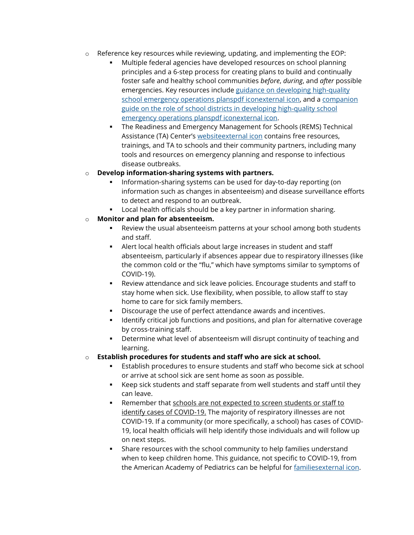- $\circ$  Reference key resources while reviewing, updating, and implementing the EOP:
	- Multiple federal agencies have developed resources on school planning principles and a 6-step process for creating plans to build and continually foster safe and healthy school communities *before*, *during*, and *after* possible emergencies. Key resources include [guidance on developing high-quality](https://rems.ed.gov/docs/REMS_K-12_Guide_508.pdf)  [school emergency operations planspdf](https://rems.ed.gov/docs/REMS_K-12_Guide_508.pdf) iconexternal icon, and a [companion](https://rems.ed.gov/docs/District_Guide_508C.pdf)  [guide on the role of school districts in developing high-quality school](https://rems.ed.gov/docs/District_Guide_508C.pdf)  [emergency operations planspdf](https://rems.ed.gov/docs/District_Guide_508C.pdf) iconexternal icon.
	- The Readiness and Emergency Management for Schools (REMS) Technical Assistance (TA) Center's [websiteexternal](https://rems.ed.gov/) icon contains free resources, trainings, and TA to schools and their community partners, including many tools and resources on emergency planning and response to infectious disease outbreaks.
- o **Develop information-sharing systems with partners.**
	- Information-sharing systems can be used for day-to-day reporting (on information such as changes in absenteeism) and disease surveillance efforts to detect and respond to an outbreak.
	- Local health officials should be a key partner in information sharing.
- o **Monitor and plan for absenteeism.**
	- Review the usual absenteeism patterns at your school among both students and staff.
	- Alert local health officials about large increases in student and staff absenteeism, particularly if absences appear due to respiratory illnesses (like the common cold or the "flu," which have symptoms similar to symptoms of COVID-19).
	- Review attendance and sick leave policies. Encourage students and staff to stay home when sick. Use flexibility, when possible, to allow staff to stay home to care for sick family members.
	- Discourage the use of perfect attendance awards and incentives.
	- Identify critical job functions and positions, and plan for alternative coverage by cross-training staff.
	- Determine what level of absenteeism will disrupt continuity of teaching and learning.
- o **Establish procedures for students and staff who are sick at school.**
	- Establish procedures to ensure students and staff who become sick at school or arrive at school sick are sent home as soon as possible.
	- Keep sick students and staff separate from well students and staff until they can leave.
	- Remember that schools are not expected to screen students or staff to identify cases of COVID-19. The majority of respiratory illnesses are not COVID-19. If a community (or more specifically, a school) has cases of COVID-19, local health officials will help identify those individuals and will follow up on next steps.
	- Share resources with the school community to help families understand when to keep children home. This guidance, not specific to COVID-19, from the American Academy of Pediatrics can be helpful for [familiesexternal](https://www.healthychildren.org/English/family-life/work-play/Pages/When-to-Keep-Your-Child-Home-from-Child-Care.aspx) icon.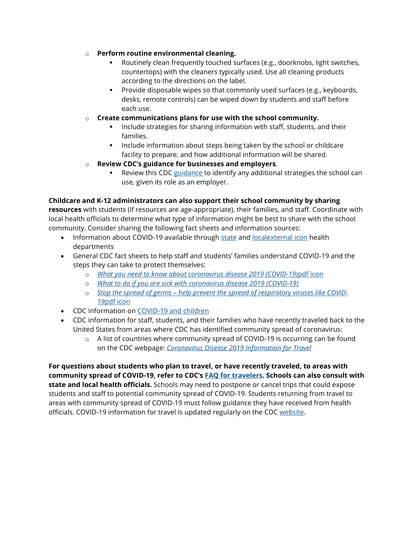### o **Perform routine environmental cleaning.**

- Routinely clean frequently touched surfaces (e.g., doorknobs, light switches, countertops) with the cleaners typically used. Use all cleaning products according to the directions on the label.
- **Provide disposable wipes so that commonly used surfaces (e.g., keyboards,** desks, remote controls) can be wiped down by students and staff before each use.
- o **Create communications plans for use with the school community.**
	- Include strategies for sharing information with staff, students, and their families.
	- Include information about steps being taken by the school or childcare facility to prepare, and how additional information will be shared.
- o **Review CDC's guidance for businesses and employers**.
	- Review this CDC [guidance](https://www.cdc.gov/coronavirus/2019-ncov/specific-groups/guidance-business-response.html) to identify any additional strategies the school can use, given its role as an employer.

#### **Childcare and K-12 administrators can also support their school community by sharing**

**resources** with students (if resources are age-appropriate), their families, and staff. Coordinate with local health officials to determine what type of information might be best to share with the school community. Consider sharing the following fact sheets and information sources:

- Information about COVID-19 available through [state](https://www.cdc.gov/publichealthgateway/healthdirectories/healthdepartments.html) and [localexternal](https://www.naccho.org/membership/lhd-directory) icon health departments
- General CDC fact sheets to help staff and students' families understand COVID-19 and the steps they can take to protect themselves:
	- o *[What you need to know about coronavirus disease 2019 \(COVID-19\)](https://www.cdc.gov/coronavirus/2019-ncov/downloads/2019-ncov-factsheet.pdf)*pdf icon
	- o *[What to do if you are sick with coronavirus disease 2019 \(COVID-19\)](https://www.cdc.gov/coronavirus/2019-ncov/about/steps-when-sick.html)*
	- o *Stop the spread of germs – [help prevent the spread of respiratory viruses like COVID-](https://www.cdc.gov/coronavirus/2019-ncov/downloads/stop-the-spread-of-germs.pdf)19*pdf [icon](https://www.cdc.gov/coronavirus/2019-ncov/downloads/stop-the-spread-of-germs.pdf)
- CDC Information on [COVID-19 and children](https://www.cdc.gov/coronavirus/2019-ncov/specific-groups/children-faq.html)
- CDC information for staff, students, and their families who have recently traveled back to the United States from areas where CDC has identified community spread of coronavirus:
	- $\circ$  A list of countries where community spread of COVID-19 is occurring can be found on the CDC webpage: *[Coronavirus Disease 2019 Information for Travel](https://www.cdc.gov/coronavirus/2019-ncov/travelers/index.html)*

**For questions about students who plan to travel, or have recently traveled, to areas with community spread of COVID-19, refer to CDC's [FAQ for travelers.](https://www.cdc.gov/coronavirus/2019-ncov/travelers/faqs.html) Schools can also consult with state and local health officials.** Schools may need to postpone or cancel trips that could expose students and staff to potential community spread of COVID-19. Students returning from travel to areas with community spread of COVID-19 must follow guidance they have received from health officials. COVID-19 information for travel is updated regularly on the CDC [website.](https://www.cdc.gov/coronavirus/2019-ncov/travelers/index.html)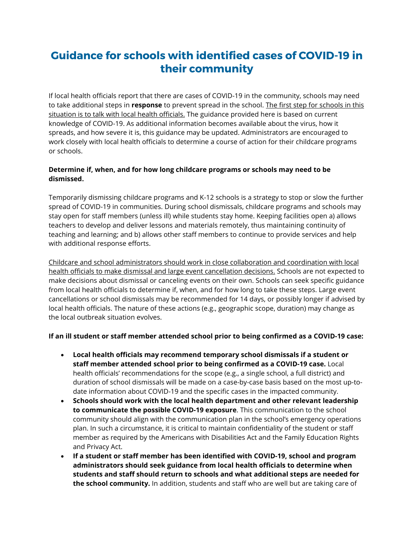# **Guidance for schools with identified cases of COVID-19 in their community**

If local health officials report that there are cases of COVID-19 in the community, schools may need to take additional steps in **response** to prevent spread in the school. The first step for schools in this situation is to talk with local health officials. The guidance provided here is based on current knowledge of COVID-19. As additional information becomes available about the virus, how it spreads, and how severe it is, this guidance may be updated. Administrators are encouraged to work closely with local health officials to determine a course of action for their childcare programs or schools.

## **Determine if, when, and for how long childcare programs or schools may need to be dismissed.**

Temporarily dismissing childcare programs and K-12 schools is a strategy to stop or slow the further spread of COVID-19 in communities. During school dismissals, childcare programs and schools may stay open for staff members (unless ill) while students stay home. Keeping facilities open a) allows teachers to develop and deliver lessons and materials remotely, thus maintaining continuity of teaching and learning; and b) allows other staff members to continue to provide services and help with additional response efforts.

Childcare and school administrators should work in close collaboration and coordination with local health officials to make dismissal and large event cancellation decisions. Schools are not expected to make decisions about dismissal or canceling events on their own. Schools can seek specific guidance from local health officials to determine if, when, and for how long to take these steps. Large event cancellations or school dismissals may be recommended for 14 days, or possibly longer if advised by local health officials. The nature of these actions (e.g., geographic scope, duration) may change as the local outbreak situation evolves.

#### **If an ill student or staff member attended school prior to being confirmed as a COVID-19 case:**

- **Local health officials may recommend temporary school dismissals if a student or staff member attended school prior to being confirmed as a COVID-19 case.** Local health officials' recommendations for the scope (e.g., a single school, a full district) and duration of school dismissals will be made on a case-by-case basis based on the most up-todate information about COVID-19 and the specific cases in the impacted community.
- **Schools should work with the local health department and other relevant leadership to communicate the possible COVID-19 exposure**. This communication to the school community should align with the communication plan in the school's emergency operations plan. In such a circumstance, it is critical to maintain confidentiality of the student or staff member as required by the Americans with Disabilities Act and the Family Education Rights and Privacy Act.
- **If a student or staff member has been identified with COVID-19, school and program administrators should seek guidance from local health officials to determine when students and staff should return to schools and what additional steps are needed for the school community.** In addition, students and staff who are well but are taking care of